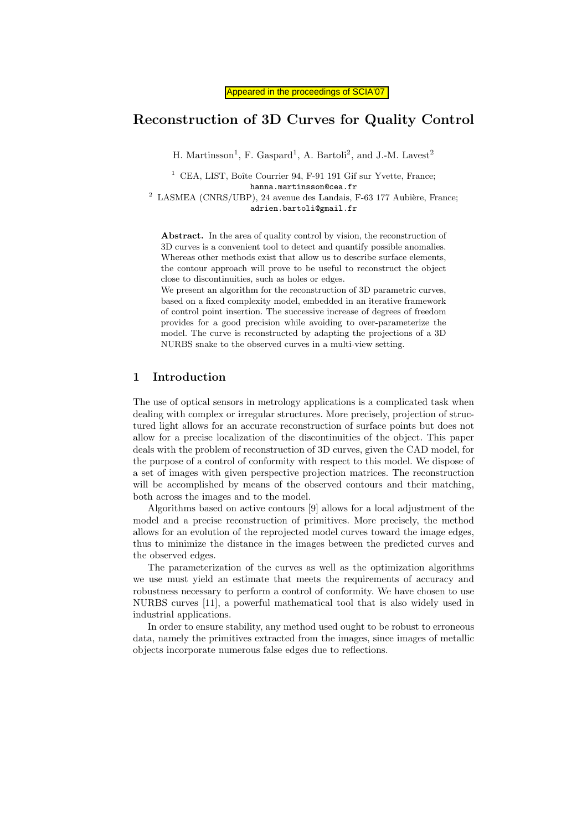# Reconstruction of 3D Curves for Quality Control

H. Martinsson<sup>1</sup>, F. Gaspard<sup>1</sup>, A. Bartoli<sup>2</sup>, and J.-M. Lavest<sup>2</sup>

 $1$  CEA, LIST, Boîte Courrier 94, F-91 191 Gif sur Yvette, France; hanna.martinsson@cea.fr

 $2$  LASMEA (CNRS/UBP), 24 avenue des Landais, F-63 177 Aubière, France; adrien.bartoli@gmail.fr

Abstract. In the area of quality control by vision, the reconstruction of 3D curves is a convenient tool to detect and quantify possible anomalies. Whereas other methods exist that allow us to describe surface elements, the contour approach will prove to be useful to reconstruct the object close to discontinuities, such as holes or edges.

We present an algorithm for the reconstruction of 3D parametric curves, based on a fixed complexity model, embedded in an iterative framework of control point insertion. The successive increase of degrees of freedom provides for a good precision while avoiding to over-parameterize the model. The curve is reconstructed by adapting the projections of a 3D NURBS snake to the observed curves in a multi-view setting.

### 1 Introduction

The use of optical sensors in metrology applications is a complicated task when dealing with complex or irregular structures. More precisely, projection of structured light allows for an accurate reconstruction of surface points but does not allow for a precise localization of the discontinuities of the object. This paper deals with the problem of reconstruction of 3D curves, given the CAD model, for the purpose of a control of conformity with respect to this model. We dispose of a set of images with given perspective projection matrices. The reconstruction will be accomplished by means of the observed contours and their matching, both across the images and to the model.

Algorithms based on active contours [9] allows for a local adjustment of the model and a precise reconstruction of primitives. More precisely, the method allows for an evolution of the reprojected model curves toward the image edges, thus to minimize the distance in the images between the predicted curves and the observed edges.

The parameterization of the curves as well as the optimization algorithms we use must yield an estimate that meets the requirements of accuracy and robustness necessary to perform a control of conformity. We have chosen to use NURBS curves [11], a powerful mathematical tool that is also widely used in industrial applications.

In order to ensure stability, any method used ought to be robust to erroneous data, namely the primitives extracted from the images, since images of metallic objects incorporate numerous false edges due to reflections.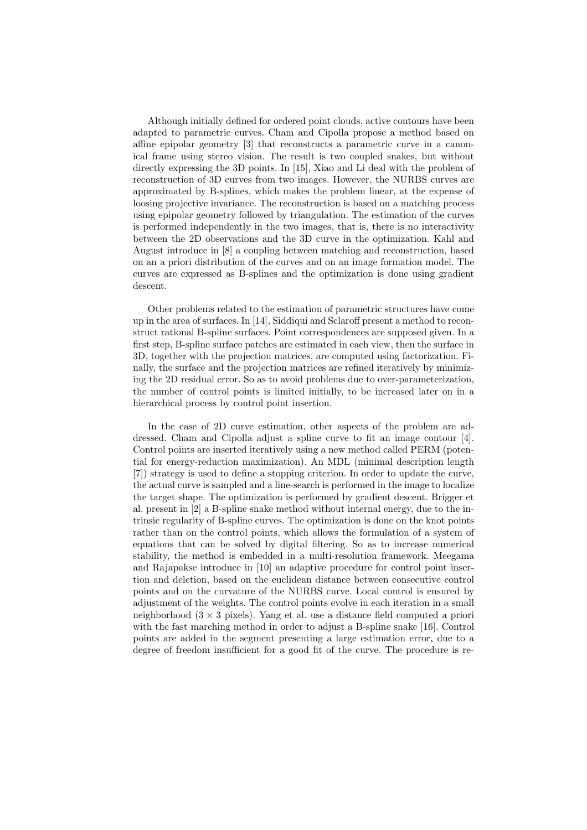Although initially defined for ordered point clouds, active contours have been adapted to parametric curves. Cham and Cipolla propose a method based on affine epipolar geometry [3] that reconstructs a parametric curve in a canonical frame using stereo vision. The result is two coupled snakes, but without directly expressing the 3D points. In [15], Xiao and Li deal with the problem of reconstruction of 3D curves from two images. However, the NURBS curves are approximated by B-splines, which makes the problem linear, at the expense of loosing projective invariance. The reconstruction is based on a matching process using epipolar geometry followed by triangulation. The estimation of the curves is performed independently in the two images, that is, there is no interactivity between the 2D observations and the 3D curve in the optimization. Kahl and August introduce in [8] a coupling between matching and reconstruction, based on an a priori distribution of the curves and on an image formation model. The curves are expressed as B-splines and the optimization is done using gradient descent.

Other problems related to the estimation of parametric structures have come up in the area of surfaces. In [14], Siddiqui and Sclaroff present a method to reconstruct rational B-spline surfaces. Point correspondences are supposed given. In a first step, B-spline surface patches are estimated in each view, then the surface in 3D, together with the projection matrices, are computed using factorization. Finally, the surface and the projection matrices are refined iteratively by minimizing the 2D residual error. So as to avoid problems due to over-parameterization, the number of control points is limited initially, to be increased later on in a hierarchical process by control point insertion.

In the case of 2D curve estimation, other aspects of the problem are addressed. Cham and Cipolla adjust a spline curve to fit an image contour [4]. Control points are inserted iteratively using a new method called PERM (potential for energy-reduction maximization). An MDL (minimal description length [7]) strategy is used to define a stopping criterion. In order to update the curve, the actual curve is sampled and a line-search is performed in the image to localize the target shape. The optimization is performed by gradient descent. Brigger et al. present in [2] a B-spline snake method without internal energy, due to the intrinsic regularity of B-spline curves. The optimization is done on the knot points rather than on the control points, which allows the formulation of a system of equations that can be solved by digital filtering. So as to increase numerical stability, the method is embedded in a multi-resolution framework. Meegama and Rajapakse introduce in [10] an adaptive procedure for control point insertion and deletion, based on the euclidean distance between consecutive control points and on the curvature of the NURBS curve. Local control is ensured by adjustment of the weights. The control points evolve in each iteration in a small neighborhood  $(3 \times 3$  pixels). Yang et al. use a distance field computed a priori with the fast marching method in order to adjust a B-spline snake [16]. Control points are added in the segment presenting a large estimation error, due to a degree of freedom insufficient for a good fit of the curve. The procedure is re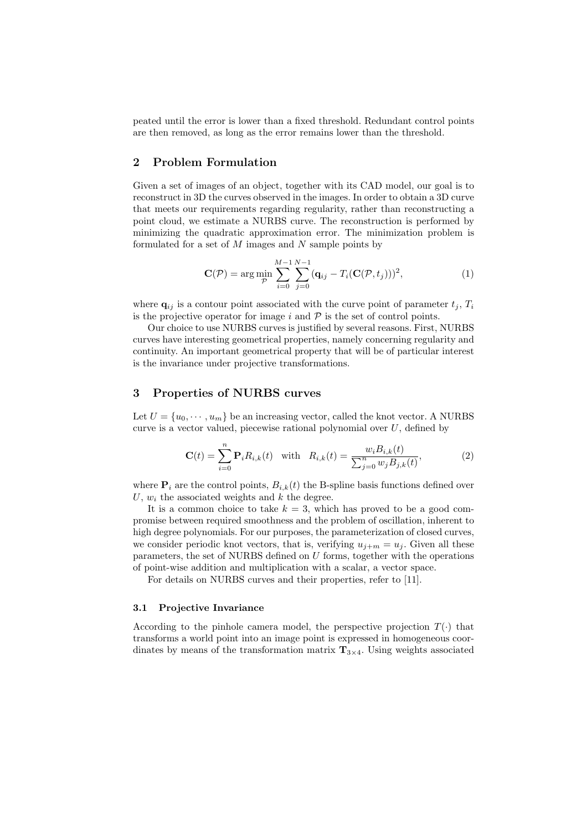peated until the error is lower than a fixed threshold. Redundant control points are then removed, as long as the error remains lower than the threshold.

## 2 Problem Formulation

Given a set of images of an object, together with its CAD model, our goal is to reconstruct in 3D the curves observed in the images. In order to obtain a 3D curve that meets our requirements regarding regularity, rather than reconstructing a point cloud, we estimate a NURBS curve. The reconstruction is performed by minimizing the quadratic approximation error. The minimization problem is formulated for a set of  $M$  images and  $N$  sample points by

$$
\mathbf{C}(\mathcal{P}) = \arg \min_{\mathcal{P}} \sum_{i=0}^{M-1} \sum_{j=0}^{N-1} (\mathbf{q}_{ij} - T_i(\mathbf{C}(\mathcal{P}, t_j)))^2, \tag{1}
$$

where  $\mathbf{q}_{ij}$  is a contour point associated with the curve point of parameter  $t_j$ ,  $T_i$ is the projective operator for image  $i$  and  $P$  is the set of control points.

Our choice to use NURBS curves is justified by several reasons. First, NURBS curves have interesting geometrical properties, namely concerning regularity and continuity. An important geometrical property that will be of particular interest is the invariance under projective transformations.

# 3 Properties of NURBS curves

Let  $U = \{u_0, \dots, u_m\}$  be an increasing vector, called the knot vector. A NURBS curve is a vector valued, piecewise rational polynomial over  $U$ , defined by

$$
\mathbf{C}(t) = \sum_{i=0}^{n} \mathbf{P}_{i} R_{i,k}(t) \text{ with } R_{i,k}(t) = \frac{w_{i} B_{i,k}(t)}{\sum_{j=0}^{n} w_{j} B_{j,k}(t)},
$$
(2)

where  $P_i$  are the control points,  $B_{i,k}(t)$  the B-spline basis functions defined over U,  $w_i$  the associated weights and k the degree.

It is a common choice to take  $k = 3$ , which has proved to be a good compromise between required smoothness and the problem of oscillation, inherent to high degree polynomials. For our purposes, the parameterization of closed curves, we consider periodic knot vectors, that is, verifying  $u_{i+m} = u_i$ . Given all these parameters, the set of NURBS defined on  $U$  forms, together with the operations of point-wise addition and multiplication with a scalar, a vector space.

For details on NURBS curves and their properties, refer to [11].

#### 3.1 Projective Invariance

According to the pinhole camera model, the perspective projection  $T(\cdot)$  that transforms a world point into an image point is expressed in homogeneous coordinates by means of the transformation matrix  $\mathbf{T}_{3\times4}$ . Using weights associated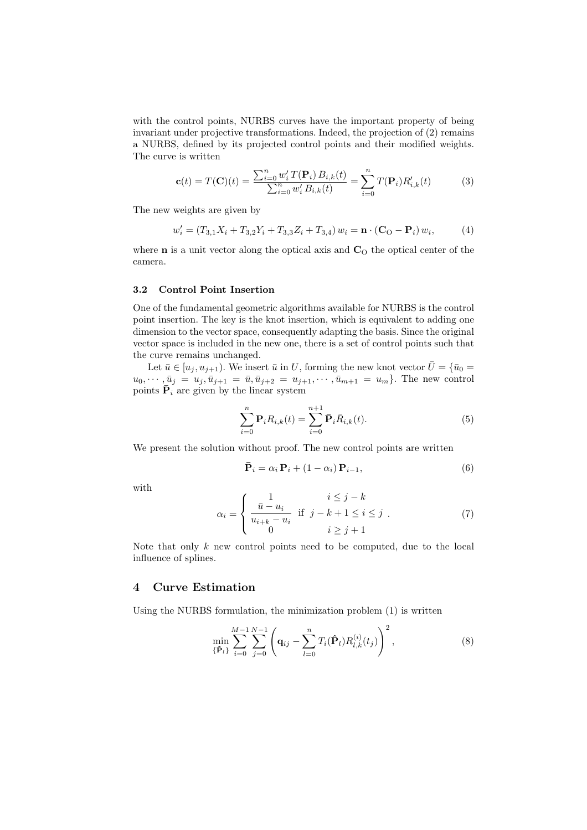with the control points, NURBS curves have the important property of being invariant under projective transformations. Indeed, the projection of (2) remains a NURBS, defined by its projected control points and their modified weights. The curve is written

$$
\mathbf{c}(t) = T(\mathbf{C})(t) = \frac{\sum_{i=0}^{n} w'_i T(\mathbf{P}_i) B_{i,k}(t)}{\sum_{i=0}^{n} w'_i B_{i,k}(t)} = \sum_{i=0}^{n} T(\mathbf{P}_i) R'_{i,k}(t)
$$
(3)

The new weights are given by

$$
w'_{i} = (T_{3,1}X_{i} + T_{3,2}Y_{i} + T_{3,3}Z_{i} + T_{3,4}) w_{i} = \mathbf{n} \cdot (\mathbf{C}_{\mathbf{O}} - \mathbf{P}_{i}) w_{i}, \qquad (4)
$$

where  $n$  is a unit vector along the optical axis and  $C<sub>O</sub>$  the optical center of the camera.

### 3.2 Control Point Insertion

One of the fundamental geometric algorithms available for NURBS is the control point insertion. The key is the knot insertion, which is equivalent to adding one dimension to the vector space, consequently adapting the basis. Since the original vector space is included in the new one, there is a set of control points such that the curve remains unchanged.

Let  $\bar{u} \in [u_j, u_{j+1})$ . We insert  $\bar{u}$  in U, forming the new knot vector  $\bar{U} = {\bar{u}_0}$  $u_0, \dots, \bar{u}_j = u_j, \bar{u}_{j+1} = \bar{u}, \bar{u}_{j+2} = u_{j+1}, \dots, \bar{u}_{m+1} = u_m$ . The new control points  $\overline{P}_i$  are given by the linear system

$$
\sum_{i=0}^{n} \mathbf{P}_{i} R_{i,k}(t) = \sum_{i=0}^{n+1} \bar{\mathbf{P}}_{i} \bar{R}_{i,k}(t).
$$
 (5)

We present the solution without proof. The new control points are written

$$
\bar{\mathbf{P}}_i = \alpha_i \, \mathbf{P}_i + (1 - \alpha_i) \, \mathbf{P}_{i-1},\tag{6}
$$

with

$$
\alpha_i = \begin{cases} \n\frac{1}{\bar{u} - u_i} & \text{if } j - k + 1 \le i \le j \\ \n\frac{u_{i+k} - u_i}{0} & \text{if } i \ge j + 1 \n\end{cases} \tag{7}
$$

Note that only  $k$  new control points need to be computed, due to the local influence of splines.

# 4 Curve Estimation

Using the NURBS formulation, the minimization problem (1) is written

$$
\min_{\{\hat{\mathbf{P}}_l\}} \sum_{i=0}^{M-1} \sum_{j=0}^{N-1} \left( \mathbf{q}_{ij} - \sum_{l=0}^n T_i(\hat{\mathbf{P}}_l) R_{l,k}^{(i)}(t_j) \right)^2, \tag{8}
$$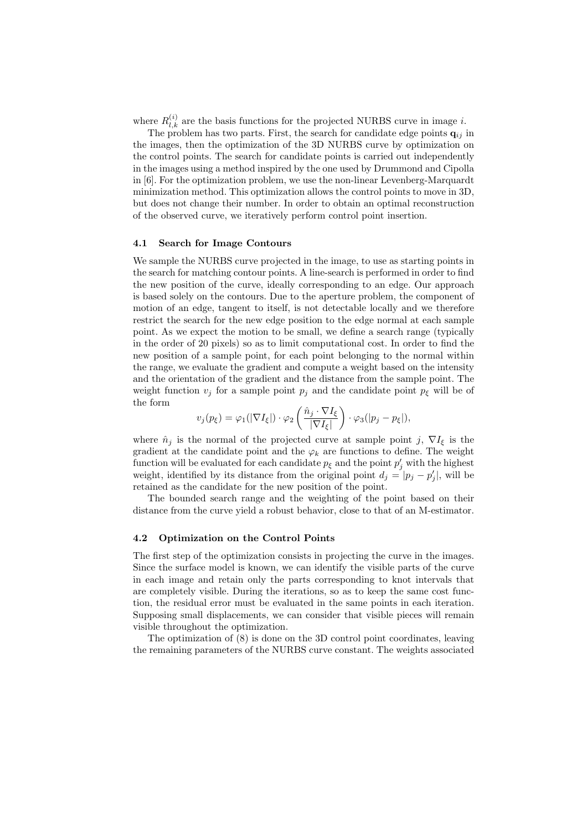where  $R_{l,k}^{(i)}$  are the basis functions for the projected NURBS curve in image *i*.

The problem has two parts. First, the search for candidate edge points  $q_{ij}$  in the images, then the optimization of the 3D NURBS curve by optimization on the control points. The search for candidate points is carried out independently in the images using a method inspired by the one used by Drummond and Cipolla in [6]. For the optimization problem, we use the non-linear Levenberg-Marquardt minimization method. This optimization allows the control points to move in 3D, but does not change their number. In order to obtain an optimal reconstruction of the observed curve, we iteratively perform control point insertion.

#### 4.1 Search for Image Contours

We sample the NURBS curve projected in the image, to use as starting points in the search for matching contour points. A line-search is performed in order to find the new position of the curve, ideally corresponding to an edge. Our approach is based solely on the contours. Due to the aperture problem, the component of motion of an edge, tangent to itself, is not detectable locally and we therefore restrict the search for the new edge position to the edge normal at each sample point. As we expect the motion to be small, we define a search range (typically in the order of 20 pixels) so as to limit computational cost. In order to find the new position of a sample point, for each point belonging to the normal within the range, we evaluate the gradient and compute a weight based on the intensity and the orientation of the gradient and the distance from the sample point. The weight function  $v_j$  for a sample point  $p_j$  and the candidate point  $p_\xi$  will be of the form

$$
v_j(p_{\xi}) = \varphi_1(|\nabla I_{\xi}|) \cdot \varphi_2\left(\frac{\hat{n}_j \cdot \nabla I_{\xi}}{|\nabla I_{\xi}|}\right) \cdot \varphi_3(|p_j - p_{\xi}|),
$$

where  $\hat{n}_j$  is the normal of the projected curve at sample point j,  $\nabla I_{\xi}$  is the gradient at the candidate point and the  $\varphi_k$  are functions to define. The weight function will be evaluated for each candidate  $p_{\xi}$  and the point  $p'_{j}$  with the highest weight, identified by its distance from the original point  $d_j = |p_j - p'_j|$ , will be retained as the candidate for the new position of the point.

The bounded search range and the weighting of the point based on their distance from the curve yield a robust behavior, close to that of an M-estimator.

#### 4.2 Optimization on the Control Points

The first step of the optimization consists in projecting the curve in the images. Since the surface model is known, we can identify the visible parts of the curve in each image and retain only the parts corresponding to knot intervals that are completely visible. During the iterations, so as to keep the same cost function, the residual error must be evaluated in the same points in each iteration. Supposing small displacements, we can consider that visible pieces will remain visible throughout the optimization.

The optimization of (8) is done on the 3D control point coordinates, leaving the remaining parameters of the NURBS curve constant. The weights associated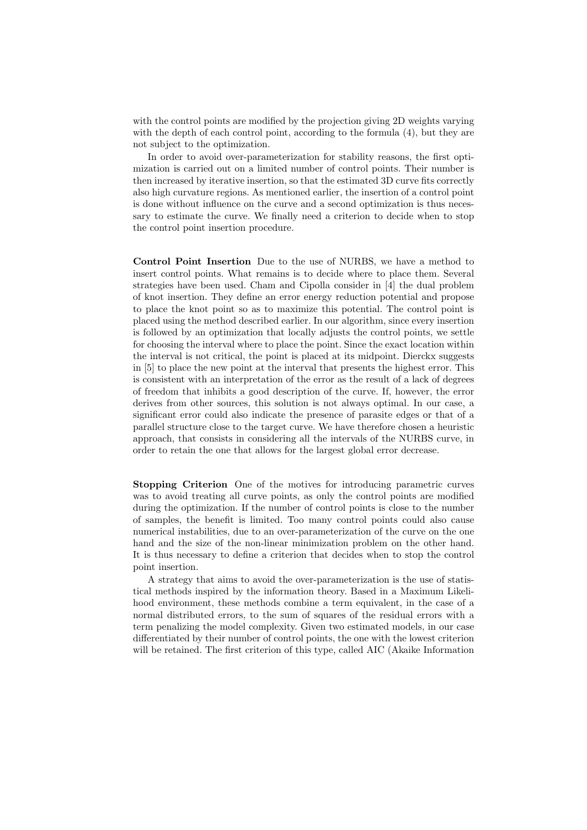with the control points are modified by the projection giving 2D weights varying with the depth of each control point, according to the formula (4), but they are not subject to the optimization.

In order to avoid over-parameterization for stability reasons, the first optimization is carried out on a limited number of control points. Their number is then increased by iterative insertion, so that the estimated 3D curve fits correctly also high curvature regions. As mentioned earlier, the insertion of a control point is done without influence on the curve and a second optimization is thus necessary to estimate the curve. We finally need a criterion to decide when to stop the control point insertion procedure.

Control Point Insertion Due to the use of NURBS, we have a method to insert control points. What remains is to decide where to place them. Several strategies have been used. Cham and Cipolla consider in [4] the dual problem of knot insertion. They define an error energy reduction potential and propose to place the knot point so as to maximize this potential. The control point is placed using the method described earlier. In our algorithm, since every insertion is followed by an optimization that locally adjusts the control points, we settle for choosing the interval where to place the point. Since the exact location within the interval is not critical, the point is placed at its midpoint. Dierckx suggests in [5] to place the new point at the interval that presents the highest error. This is consistent with an interpretation of the error as the result of a lack of degrees of freedom that inhibits a good description of the curve. If, however, the error derives from other sources, this solution is not always optimal. In our case, a significant error could also indicate the presence of parasite edges or that of a parallel structure close to the target curve. We have therefore chosen a heuristic approach, that consists in considering all the intervals of the NURBS curve, in order to retain the one that allows for the largest global error decrease.

Stopping Criterion One of the motives for introducing parametric curves was to avoid treating all curve points, as only the control points are modified during the optimization. If the number of control points is close to the number of samples, the benefit is limited. Too many control points could also cause numerical instabilities, due to an over-parameterization of the curve on the one hand and the size of the non-linear minimization problem on the other hand. It is thus necessary to define a criterion that decides when to stop the control point insertion.

A strategy that aims to avoid the over-parameterization is the use of statistical methods inspired by the information theory. Based in a Maximum Likelihood environment, these methods combine a term equivalent, in the case of a normal distributed errors, to the sum of squares of the residual errors with a term penalizing the model complexity. Given two estimated models, in our case differentiated by their number of control points, the one with the lowest criterion will be retained. The first criterion of this type, called AIC (Akaike Information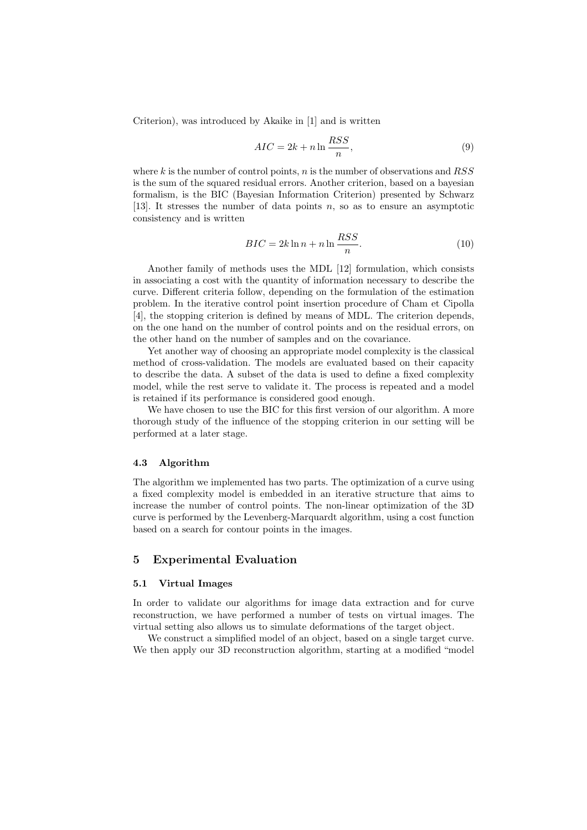Criterion), was introduced by Akaike in [1] and is written

$$
AIC = 2k + n \ln \frac{RSS}{n},\tag{9}
$$

where k is the number of control points, n is the number of observations and  $RSS$ is the sum of the squared residual errors. Another criterion, based on a bayesian formalism, is the BIC (Bayesian Information Criterion) presented by Schwarz [13]. It stresses the number of data points  $n$ , so as to ensure an asymptotic consistency and is written

$$
BIC = 2k \ln n + n \ln \frac{RSS}{n}.
$$
\n(10)

Another family of methods uses the MDL [12] formulation, which consists in associating a cost with the quantity of information necessary to describe the curve. Different criteria follow, depending on the formulation of the estimation problem. In the iterative control point insertion procedure of Cham et Cipolla [4], the stopping criterion is defined by means of MDL. The criterion depends, on the one hand on the number of control points and on the residual errors, on the other hand on the number of samples and on the covariance.

Yet another way of choosing an appropriate model complexity is the classical method of cross-validation. The models are evaluated based on their capacity to describe the data. A subset of the data is used to define a fixed complexity model, while the rest serve to validate it. The process is repeated and a model is retained if its performance is considered good enough.

We have chosen to use the BIC for this first version of our algorithm. A more thorough study of the influence of the stopping criterion in our setting will be performed at a later stage.

### 4.3 Algorithm

The algorithm we implemented has two parts. The optimization of a curve using a fixed complexity model is embedded in an iterative structure that aims to increase the number of control points. The non-linear optimization of the 3D curve is performed by the Levenberg-Marquardt algorithm, using a cost function based on a search for contour points in the images.

### 5 Experimental Evaluation

#### 5.1 Virtual Images

In order to validate our algorithms for image data extraction and for curve reconstruction, we have performed a number of tests on virtual images. The virtual setting also allows us to simulate deformations of the target object.

We construct a simplified model of an object, based on a single target curve. We then apply our 3D reconstruction algorithm, starting at a modified "model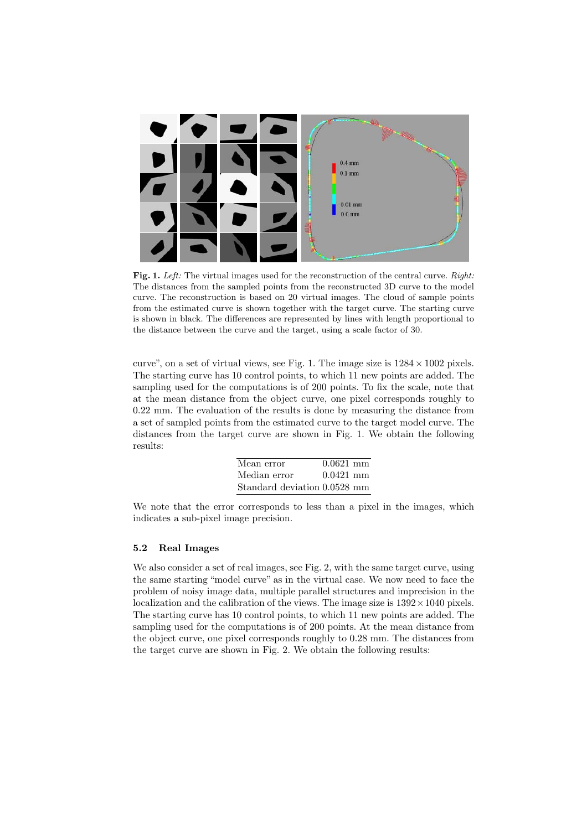

Fig. 1. Left: The virtual images used for the reconstruction of the central curve. Right: The distances from the sampled points from the reconstructed 3D curve to the model curve. The reconstruction is based on 20 virtual images. The cloud of sample points from the estimated curve is shown together with the target curve. The starting curve is shown in black. The differences are represented by lines with length proportional to the distance between the curve and the target, using a scale factor of 30.

curve", on a set of virtual views, see Fig. 1. The image size is  $1284 \times 1002$  pixels. The starting curve has 10 control points, to which 11 new points are added. The sampling used for the computations is of 200 points. To fix the scale, note that at the mean distance from the object curve, one pixel corresponds roughly to 0.22 mm. The evaluation of the results is done by measuring the distance from a set of sampled points from the estimated curve to the target model curve. The distances from the target curve are shown in Fig. 1. We obtain the following results:

| Mean error                   | $0.0621$ mm |  |
|------------------------------|-------------|--|
| Median error                 | $0.0421$ mm |  |
| Standard deviation 0.0528 mm |             |  |

We note that the error corresponds to less than a pixel in the images, which indicates a sub-pixel image precision.

#### 5.2 Real Images

We also consider a set of real images, see Fig. 2, with the same target curve, using the same starting "model curve" as in the virtual case. We now need to face the problem of noisy image data, multiple parallel structures and imprecision in the localization and the calibration of the views. The image size is  $1392 \times 1040$  pixels. The starting curve has 10 control points, to which 11 new points are added. The sampling used for the computations is of 200 points. At the mean distance from the object curve, one pixel corresponds roughly to 0.28 mm. The distances from the target curve are shown in Fig. 2. We obtain the following results: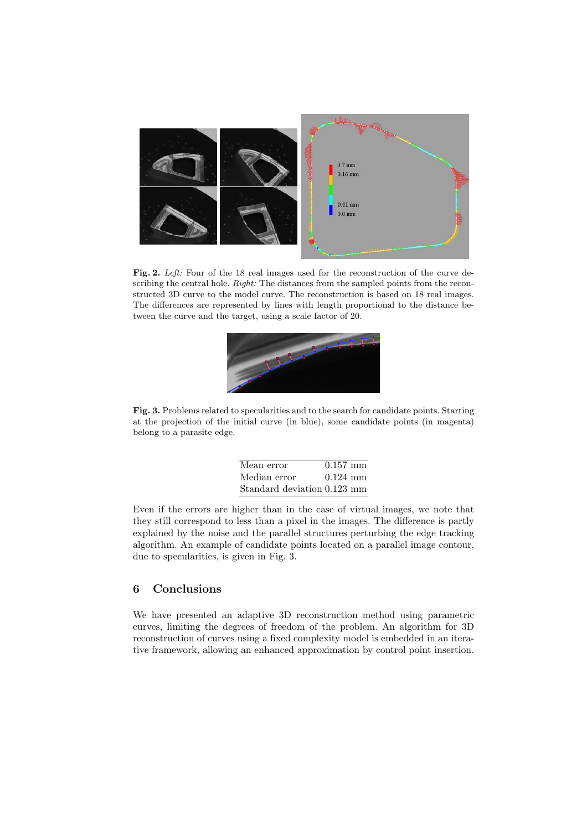

Fig. 2. Left: Four of the 18 real images used for the reconstruction of the curve describing the central hole. Right: The distances from the sampled points from the reconstructed 3D curve to the model curve. The reconstruction is based on 18 real images. The differences are represented by lines with length proportional to the distance between the curve and the target, using a scale factor of 20.



Fig. 3. Problems related to specularities and to the search for candidate points. Starting at the projection of the initial curve (in blue), some candidate points (in magenta) belong to a parasite edge.

| Mean error                  | $0.157$ mm |
|-----------------------------|------------|
|                             |            |
| Median error                | $0.124$ mm |
| Standard deviation 0.123 mm |            |

Even if the errors are higher than in the case of virtual images, we note that they still correspond to less than a pixel in the images. The difference is partly explained by the noise and the parallel structures perturbing the edge tracking algorithm. An example of candidate points located on a parallel image contour, due to specularities, is given in Fig. 3.

# 6 Conclusions

We have presented an adaptive 3D reconstruction method using parametric curves, limiting the degrees of freedom of the problem. An algorithm for 3D reconstruction of curves using a fixed complexity model is embedded in an iterative framework, allowing an enhanced approximation by control point insertion.